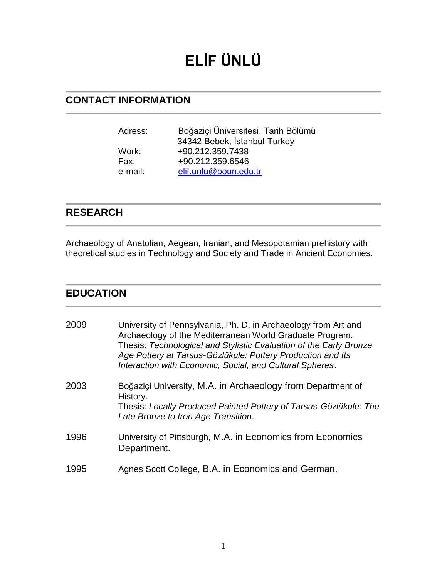# **ELİF ÜNLÜ**

## **CONTACT INFORMATION**

| Adress: | Boğaziçi Üniversitesi, Tarih Bölümü |
|---------|-------------------------------------|
|         | 34342 Bebek, İstanbul-Turkey        |
| Work:   | +90.212.359.7438                    |
| Fax:    | +90.212.359.6546                    |
| e-mail: | elif.unlu@boun.edu.tr               |

### **RESEARCH**

Archaeology of Anatolian, Aegean, Iranian, and Mesopotamian prehistory with theoretical studies in Technology and Society and Trade in Ancient Economies.

#### **EDUCATION**

| 2009 | University of Pennsylvania, Ph. D. in Archaeology from Art and<br>Archaeology of the Mediterranean World Graduate Program.<br>Thesis: Technological and Stylistic Evaluation of the Early Bronze<br>Age Pottery at Tarsus-Gözlükule: Pottery Production and Its<br>Interaction with Economic, Social, and Cultural Spheres. |
|------|-----------------------------------------------------------------------------------------------------------------------------------------------------------------------------------------------------------------------------------------------------------------------------------------------------------------------------|
| 2003 | Boğaziçi University, M.A. in Archaeology from Department of<br>History.<br>Thesis: Locally Produced Painted Pottery of Tarsus-Gözlükule: The<br>Late Bronze to Iron Age Transition.                                                                                                                                         |
| 1996 | University of Pittsburgh, M.A. in Economics from Economics<br>Department.                                                                                                                                                                                                                                                   |
| 1995 | Agnes Scott College, B.A. in Economics and German.                                                                                                                                                                                                                                                                          |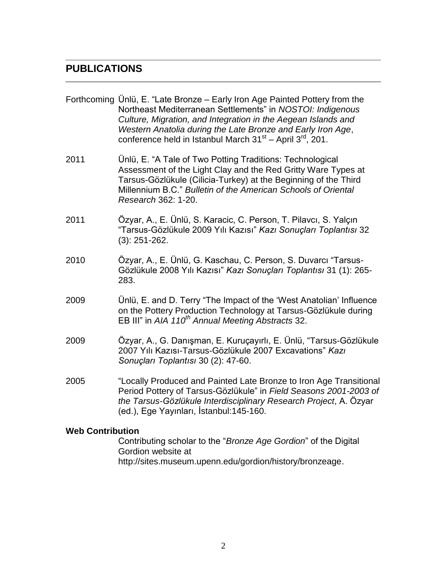#### **PUBLICATIONS**

|      | Forthcoming Ünlü, E. "Late Bronze – Early Iron Age Painted Pottery from the<br>Northeast Mediterranean Settlements" in NOSTOI: Indigenous<br>Culture, Migration, and Integration in the Aegean Islands and<br>Western Anatolia during the Late Bronze and Early Iron Age,<br>conference held in Istanbul March $31st -$ April $3rd$ , 201. |
|------|--------------------------------------------------------------------------------------------------------------------------------------------------------------------------------------------------------------------------------------------------------------------------------------------------------------------------------------------|
| 2011 | Ünlü, E. "A Tale of Two Potting Traditions: Technological<br>Assessment of the Light Clay and the Red Gritty Ware Types at<br>Tarsus-Gözlükule (Cilicia-Turkey) at the Beginning of the Third<br>Millennium B.C." Bulletin of the American Schools of Oriental<br>Research 362: 1-20.                                                      |
| 2011 | Özyar, A., E. Ünlü, S. Karacic, C. Person, T. Pilavcı, S. Yalçın<br>"Tarsus-Gözlükule 2009 Yılı Kazısı" Kazı Sonuçları Toplantısı 32<br>$(3): 251 - 262.$                                                                                                                                                                                  |
| 2010 | Özyar, A., E. Ünlü, G. Kaschau, C. Person, S. Duvarcı "Tarsus-<br>Gözlükule 2008 Yılı Kazısı" Kazı Sonuçları Toplantısı 31 (1): 265-<br>283.                                                                                                                                                                                               |
| 2009 | Unlü, E. and D. Terry "The Impact of the 'West Anatolian' Influence<br>on the Pottery Production Technology at Tarsus-Gözlükule during<br>EB III" in AIA 110 <sup>th</sup> Annual Meeting Abstracts 32.                                                                                                                                    |
| 2009 | Özyar, A., G. Danışman, E. Kuruçayırlı, E. Ünlü, "Tarsus-Gözlükule<br>2007 Yılı Kazısı-Tarsus-Gözlükule 2007 Excavations" Kazı<br>Sonuçları Toplantısı 30 (2): 47-60.                                                                                                                                                                      |
| 2005 | "Locally Produced and Painted Late Bronze to Iron Age Transitional<br>Period Pottery of Tarsus-Gözlükule" in Field Seasons 2001-2003 of<br>the Tarsus-Gözlükule Interdisciplinary Research Project, A. Özyar<br>(ed.), Ege Yayınları, İstanbul: 145-160.                                                                                   |
|      |                                                                                                                                                                                                                                                                                                                                            |

#### **Web Contribution**

Contributing scholar to the "*Bronze Age Gordion*" of the Digital Gordion website at http://sites.museum.upenn.edu/gordion/history/bronzeage.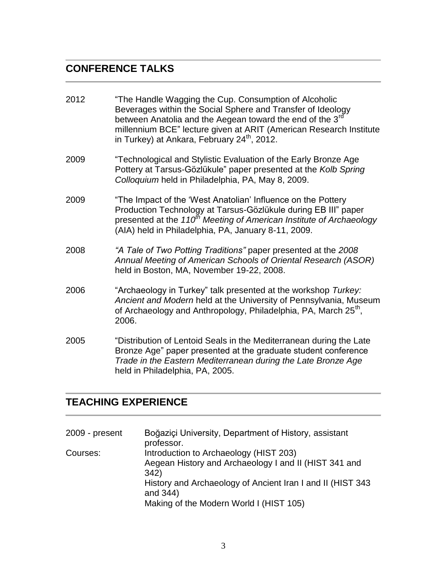# **CONFERENCE TALKS**

| 2012 | "The Handle Wagging the Cup. Consumption of Alcoholic<br>Beverages within the Social Sphere and Transfer of Ideology<br>between Anatolia and the Aegean toward the end of the 3 <sup>rd</sup><br>millennium BCE" lecture given at ARIT (American Research Institute<br>in Turkey) at Ankara, February 24 <sup>th</sup> , 2012. |
|------|--------------------------------------------------------------------------------------------------------------------------------------------------------------------------------------------------------------------------------------------------------------------------------------------------------------------------------|
| 2009 | "Technological and Stylistic Evaluation of the Early Bronze Age<br>Pottery at Tarsus-Gözlükule" paper presented at the Kolb Spring<br>Colloquium held in Philadelphia, PA, May 8, 2009.                                                                                                                                        |
| 2009 | "The Impact of the 'West Anatolian' Influence on the Pottery<br>Production Technology at Tarsus-Gözlükule during EB III" paper<br>presented at the 110 <sup>th</sup> Meeting of American Institute of Archaeology<br>(AIA) held in Philadelphia, PA, January 8-11, 2009.                                                       |
| 2008 | "A Tale of Two Potting Traditions" paper presented at the 2008<br>Annual Meeting of American Schools of Oriental Research (ASOR)<br>held in Boston, MA, November 19-22, 2008.                                                                                                                                                  |
| 2006 | "Archaeology in Turkey" talk presented at the workshop Turkey:<br>Ancient and Modern held at the University of Pennsylvania, Museum<br>of Archaeology and Anthropology, Philadelphia, PA, March 25 <sup>th</sup> ,<br>2006.                                                                                                    |
| 2005 | "Distribution of Lentoid Seals in the Mediterranean during the Late<br>Bronze Age" paper presented at the graduate student conference<br>Trade in the Eastern Mediterranean during the Late Bronze Age<br>held in Philadelphia, PA, 2005.                                                                                      |

## **TEACHING EXPERIENCE**

| 2009 - present | Boğaziçi University, Department of History, assistant<br>professor.                                                                                                                                                           |
|----------------|-------------------------------------------------------------------------------------------------------------------------------------------------------------------------------------------------------------------------------|
| Courses:       | Introduction to Archaeology (HIST 203)<br>Aegean History and Archaeology I and II (HIST 341 and<br>342)<br>History and Archaeology of Ancient Iran I and II (HIST 343)<br>and 344)<br>Making of the Modern World I (HIST 105) |